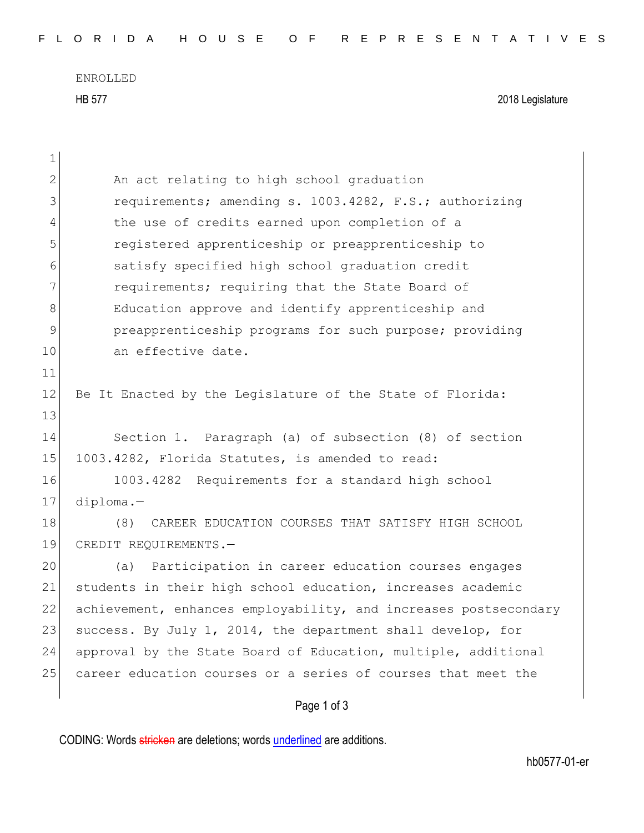ENROLLED HB 577 2018 Legislature

| 1            |                                                                  |  |  |  |  |  |  |  |  |  |
|--------------|------------------------------------------------------------------|--|--|--|--|--|--|--|--|--|
| $\mathbf{2}$ | An act relating to high school graduation                        |  |  |  |  |  |  |  |  |  |
| 3            | requirements; amending s. 1003.4282, F.S.; authorizing           |  |  |  |  |  |  |  |  |  |
| 4            | the use of credits earned upon completion of a                   |  |  |  |  |  |  |  |  |  |
| 5            | registered apprenticeship or preapprenticeship to                |  |  |  |  |  |  |  |  |  |
| 6            | satisfy specified high school graduation credit                  |  |  |  |  |  |  |  |  |  |
| 7            | requirements; requiring that the State Board of                  |  |  |  |  |  |  |  |  |  |
| 8            | Education approve and identify apprenticeship and                |  |  |  |  |  |  |  |  |  |
| $\mathsf 9$  | preapprenticeship programs for such purpose; providing           |  |  |  |  |  |  |  |  |  |
| 10           | an effective date.                                               |  |  |  |  |  |  |  |  |  |
| 11           |                                                                  |  |  |  |  |  |  |  |  |  |
| 12           | Be It Enacted by the Legislature of the State of Florida:        |  |  |  |  |  |  |  |  |  |
| 13           |                                                                  |  |  |  |  |  |  |  |  |  |
| 14           | Section 1. Paragraph (a) of subsection (8) of section            |  |  |  |  |  |  |  |  |  |
| 15           | 1003.4282, Florida Statutes, is amended to read:                 |  |  |  |  |  |  |  |  |  |
| 16           | 1003.4282 Requirements for a standard high school                |  |  |  |  |  |  |  |  |  |
| 17           | $diploma.$ -                                                     |  |  |  |  |  |  |  |  |  |
| 18           | (8)<br>CAREER EDUCATION COURSES THAT SATISFY HIGH SCHOOL         |  |  |  |  |  |  |  |  |  |
| 19           | CREDIT REQUIREMENTS.-                                            |  |  |  |  |  |  |  |  |  |
| 20           | (a) Participation in career education courses engages            |  |  |  |  |  |  |  |  |  |
| 21           | students in their high school education, increases academic      |  |  |  |  |  |  |  |  |  |
| 22           | achievement, enhances employability, and increases postsecondary |  |  |  |  |  |  |  |  |  |
| 23           | success. By July 1, 2014, the department shall develop, for      |  |  |  |  |  |  |  |  |  |
| 24           | approval by the State Board of Education, multiple, additional   |  |  |  |  |  |  |  |  |  |
| 25           | career education courses or a series of courses that meet the    |  |  |  |  |  |  |  |  |  |
|              | Page 1 of 3                                                      |  |  |  |  |  |  |  |  |  |

CODING: Words stricken are deletions; words underlined are additions.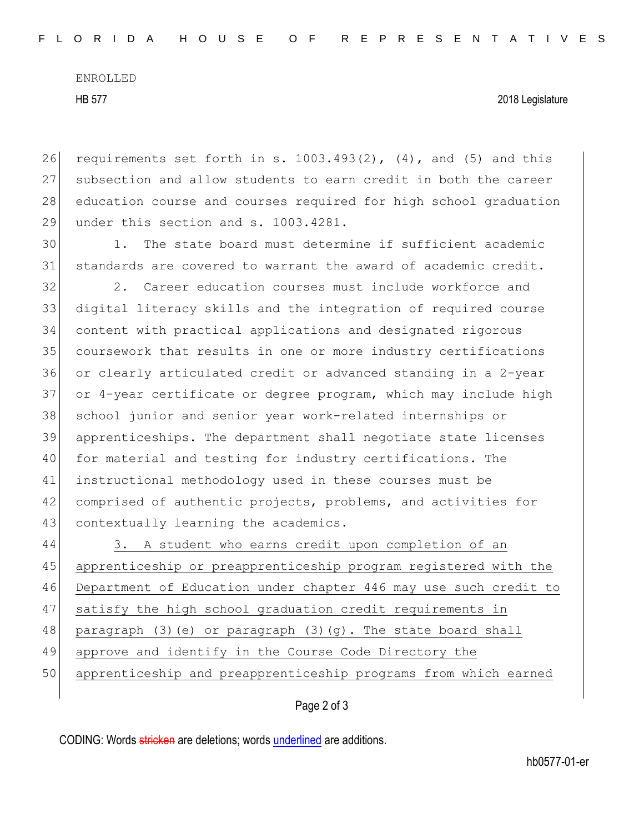ENROLLED

HB 577 2018 Legislature

26 requirements set forth in s.  $1003.493(2)$ ,  $(4)$ , and  $(5)$  and this 27 subsection and allow students to earn credit in both the career 28 education course and courses required for high school graduation 29 under this section and s. 1003.4281.

30 1. The state board must determine if sufficient academic 31 standards are covered to warrant the award of academic credit.

32 2. Career education courses must include workforce and digital literacy skills and the integration of required course content with practical applications and designated rigorous coursework that results in one or more industry certifications or clearly articulated credit or advanced standing in a 2-year or 4-year certificate or degree program, which may include high 38 school junior and senior year work-related internships or apprenticeships. The department shall negotiate state licenses for material and testing for industry certifications. The instructional methodology used in these courses must be 42 comprised of authentic projects, problems, and activities for 43 contextually learning the academics.

 3. A student who earns credit upon completion of an apprenticeship or preapprenticeship program registered with the Department of Education under chapter 446 may use such credit to satisfy the high school graduation credit requirements in 48 paragraph (3)(e) or paragraph (3)(g). The state board shall approve and identify in the Course Code Directory the apprenticeship and preapprenticeship programs from which earned

## Page 2 of 3

CODING: Words stricken are deletions; words underlined are additions.